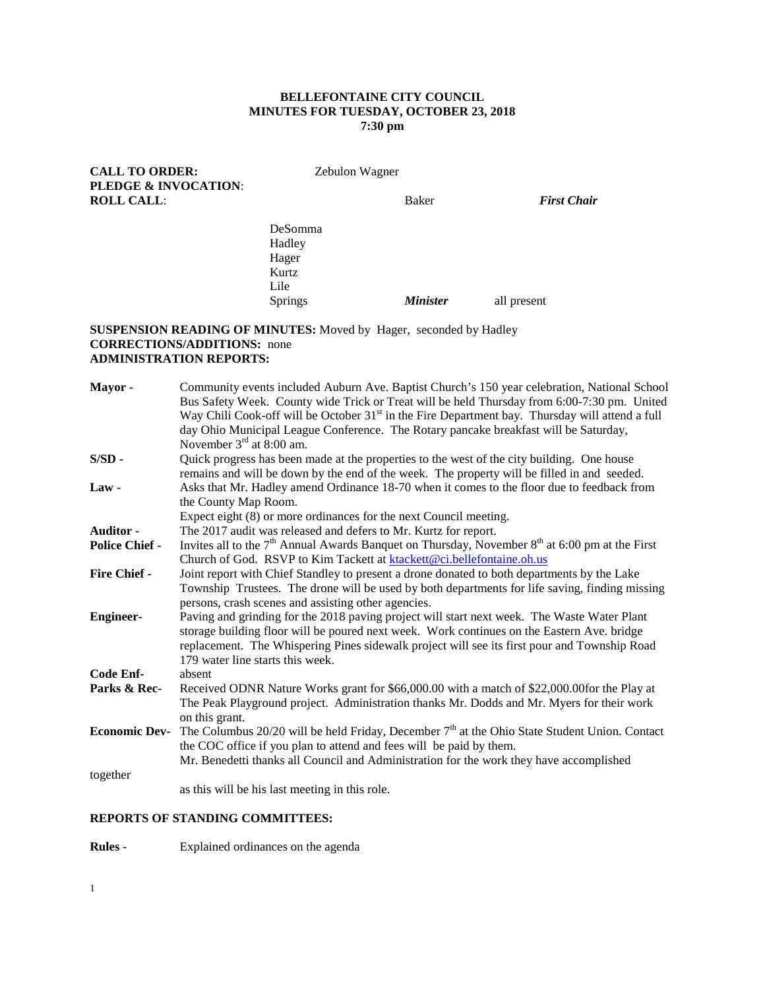### **BELLEFONTAINE CITY COUNCIL MINUTES FOR TUESDAY, OCTOBER 23, 2018 7:30 pm**

Springs *Minister* all present

| <b>CALL TO ORDER:</b>                                | Zebulon Wagner |       |                    |
|------------------------------------------------------|----------------|-------|--------------------|
| <b>PLEDGE &amp; INVOCATION:</b><br><b>ROLL CALL:</b> |                | Baker | <b>First Chair</b> |
|                                                      | DeSomma        |       |                    |
|                                                      | Hadley         |       |                    |
|                                                      | Hager          |       |                    |
|                                                      | Kurtz          |       |                    |
|                                                      | Lile           |       |                    |

### **SUSPENSION READING OF MINUTES:** Moved by Hager, seconded by Hadley **CORRECTIONS/ADDITIONS:** none **ADMINISTRATION REPORTS:**

| Mayor-                | Community events included Auburn Ave. Baptist Church's 150 year celebration, National School<br>Bus Safety Week. County wide Trick or Treat will be held Thursday from 6:00-7:30 pm. United         |
|-----------------------|-----------------------------------------------------------------------------------------------------------------------------------------------------------------------------------------------------|
|                       | Way Chili Cook-off will be October 31 <sup>st</sup> in the Fire Department bay. Thursday will attend a full<br>day Ohio Municipal League Conference. The Rotary pancake breakfast will be Saturday, |
|                       | November $3rd$ at 8:00 am.                                                                                                                                                                          |
| $S/SD -$              | Quick progress has been made at the properties to the west of the city building. One house                                                                                                          |
|                       | remains and will be down by the end of the week. The property will be filled in and seeded.                                                                                                         |
| $Law -$               | Asks that Mr. Hadley amend Ordinance 18-70 when it comes to the floor due to feedback from                                                                                                          |
|                       | the County Map Room.                                                                                                                                                                                |
|                       | Expect eight (8) or more ordinances for the next Council meeting.                                                                                                                                   |
| <b>Auditor -</b>      | The 2017 audit was released and defers to Mr. Kurtz for report.                                                                                                                                     |
| <b>Police Chief -</b> | Invites all to the $7th$ Annual Awards Banquet on Thursday, November $8th$ at 6:00 pm at the First                                                                                                  |
|                       | Church of God. RSVP to Kim Tackett at ktackett@ci.bellefontaine.oh.us                                                                                                                               |
| <b>Fire Chief -</b>   | Joint report with Chief Standley to present a drone donated to both departments by the Lake                                                                                                         |
|                       | Township Trustees. The drone will be used by both departments for life saving, finding missing                                                                                                      |
|                       | persons, crash scenes and assisting other agencies.                                                                                                                                                 |
| <b>Engineer-</b>      | Paving and grinding for the 2018 paving project will start next week. The Waste Water Plant                                                                                                         |
|                       | storage building floor will be poured next week. Work continues on the Eastern Ave. bridge                                                                                                          |
|                       | replacement. The Whispering Pines sidewalk project will see its first pour and Township Road                                                                                                        |
|                       | 179 water line starts this week.                                                                                                                                                                    |
| Code Enf-             | absent                                                                                                                                                                                              |
| Parks & Rec-          | Received ODNR Nature Works grant for \$66,000.00 with a match of \$22,000.00for the Play at                                                                                                         |
|                       | The Peak Playground project. Administration thanks Mr. Dodds and Mr. Myers for their work                                                                                                           |
|                       | on this grant.                                                                                                                                                                                      |
| <b>Economic Dev-</b>  | The Columbus $20/20$ will be held Friday, December $7th$ at the Ohio State Student Union. Contact                                                                                                   |
|                       | the COC office if you plan to attend and fees will be paid by them.                                                                                                                                 |
|                       | Mr. Benedetti thanks all Council and Administration for the work they have accomplished                                                                                                             |
| together              |                                                                                                                                                                                                     |
|                       | as this will be his last meeting in this role.                                                                                                                                                      |
|                       |                                                                                                                                                                                                     |

# **REPORTS OF STANDING COMMITTEES:**

**Rules -** Explained ordinances on the agenda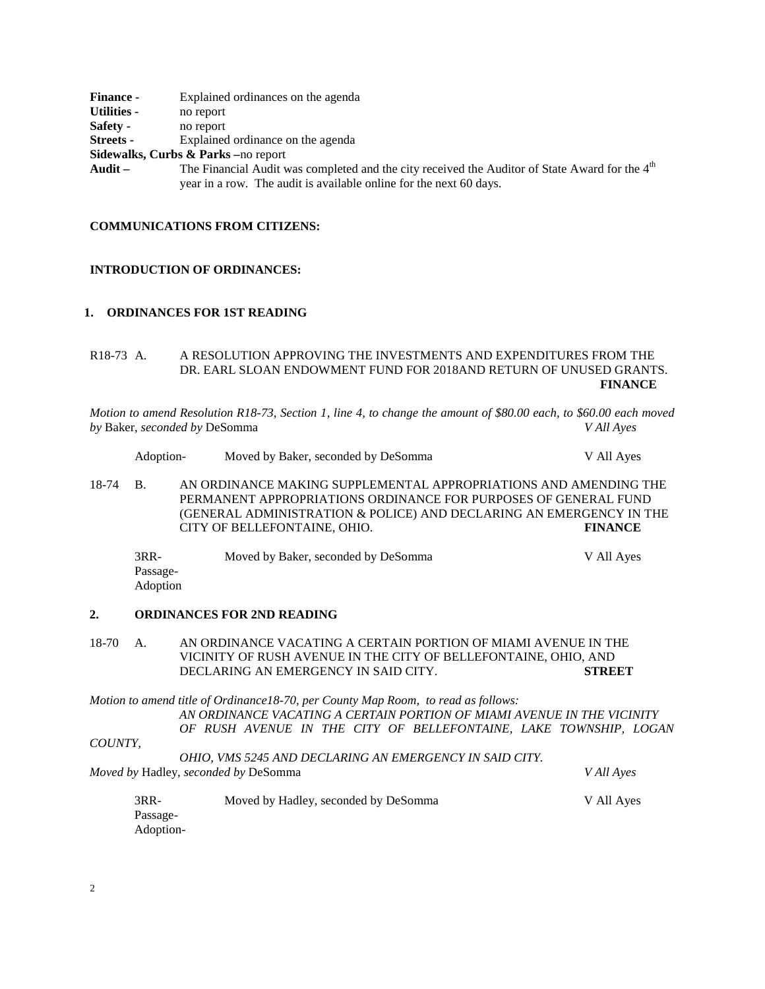| <b>Finance -</b> | Explained ordinances on the agenda                                                                         |
|------------------|------------------------------------------------------------------------------------------------------------|
| Utilities -      | no report                                                                                                  |
| Safety -         | no report                                                                                                  |
| <b>Streets -</b> | Explained ordinance on the agenda                                                                          |
|                  | <b>Sidewalks, Curbs &amp; Parks</b> –no report                                                             |
| Audit –          | The Financial Audit was completed and the city received the Auditor of State Award for the 4 <sup>th</sup> |
|                  | year in a row. The audit is available online for the next 60 days.                                         |

### **COMMUNICATIONS FROM CITIZENS:**

#### **INTRODUCTION OF ORDINANCES:**

## **1. ORDINANCES FOR 1ST READING**

R18-73 A. A RESOLUTION APPROVING THE INVESTMENTS AND EXPENDITURES FROM THE DR. EARL SLOAN ENDOWMENT FUND FOR 2018AND RETURN OF UNUSED GRANTS. **FINANCE**

*Motion to amend Resolution R18-73, Section 1, line 4, to change the amount of \$80.00 each, to \$60.00 each moved by* Baker, *seconded by* DeSomma *V All Ayes*

- Adoption- Moved by Baker, seconded by DeSomma V All Ayes
- 18-74 B. AN ORDINANCE MAKING SUPPLEMENTAL APPROPRIATIONS AND AMENDING THE PERMANENT APPROPRIATIONS ORDINANCE FOR PURPOSES OF GENERAL FUND (GENERAL ADMINISTRATION & POLICE) AND DECLARING AN EMERGENCY IN THE CITY OF BELLEFONTAINE, OHIO. **FINANCE**

| $3RR-$          | Moved by Baker, seconded by DeSomma | V All Aves |
|-----------------|-------------------------------------|------------|
| Passage-        |                                     |            |
| <b>Adoption</b> |                                     |            |

#### **2. ORDINANCES FOR 2ND READING**

18-70 A. AN ORDINANCE VACATING A CERTAIN PORTION OF MIAMI AVENUE IN THE VICINITY OF RUSH AVENUE IN THE CITY OF BELLEFONTAINE, OHIO, AND DECLARING AN EMERGENCY IN SAID CITY. **STREET**

*Motion to amend title of Ordinance18-70, per County Map Room, to read as follows: AN ORDINANCE VACATING A CERTAIN PORTION OF MIAMI AVENUE IN THE VICINITY OF RUSH AVENUE IN THE CITY OF BELLEFONTAINE, LAKE TOWNSHIP, LOGAN* 

*COUNTY,*

*OHIO, VMS 5245 AND DECLARING AN EMERGENCY IN SAID CITY. Moved by* Hadley, *seconded by* DeSomma *V All Ayes* 3RR- Moved by Hadley, seconded by DeSomma V All Ayes

Passage-Adoption-